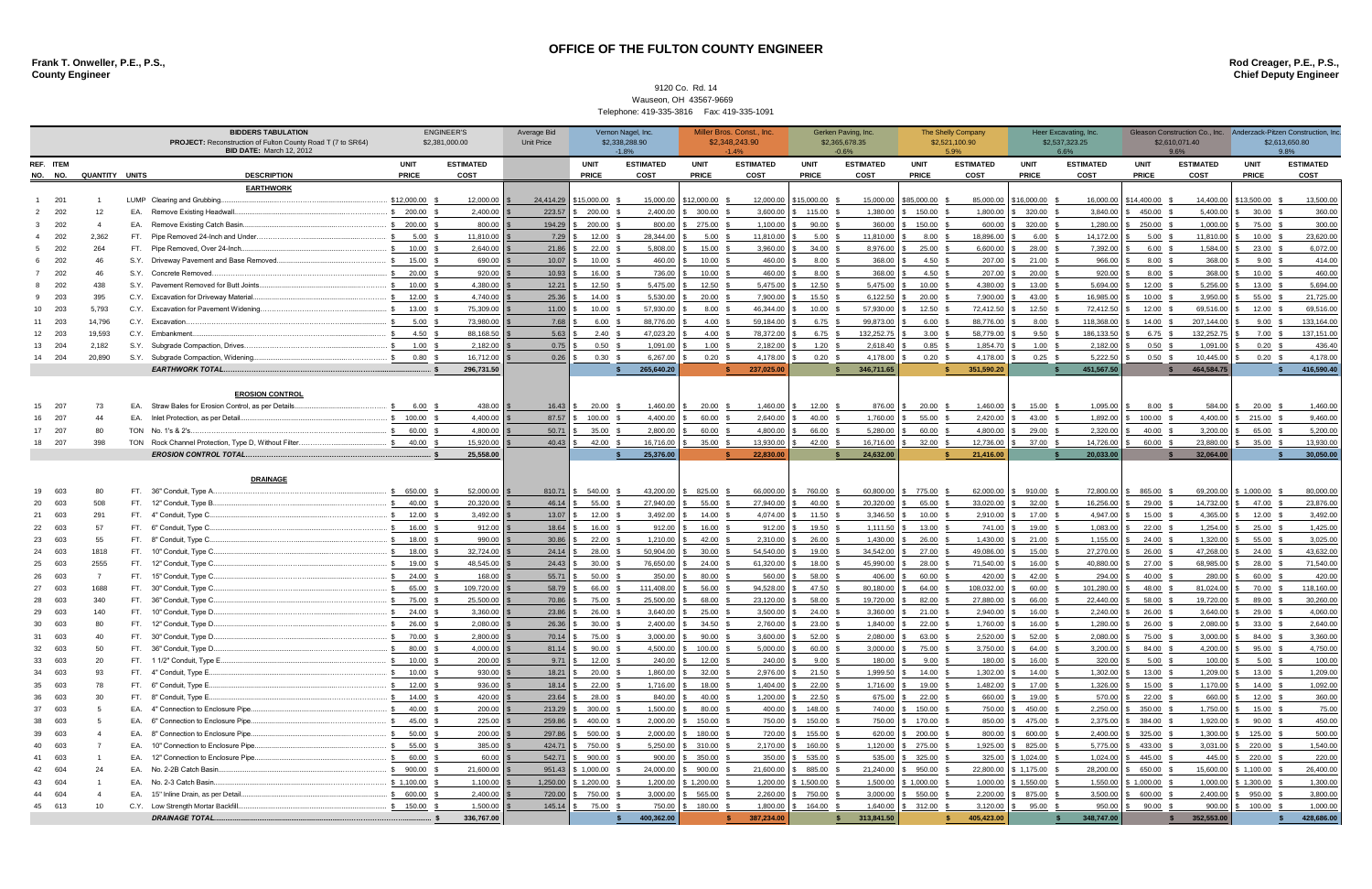**Frank T. Onweller, P.E., P.S., Rod Creager, P.E., P.S., County Engineer Chief Deputy Engineer**

|                        |            |                        | <b>BIDDERS TABULATION</b><br><b>PROJECT:</b> Reconstruction of Fulton County Road T (7 to SR64)<br><b>BID DATE: March 12, 2012</b> | <b>ENGINEER'S</b><br>\$2,381,000.00                  |                     | <b>Average Bid</b><br><b>Unit Price</b> | Vernon Nagel, Inc.<br>\$2,338,288.90<br>$-1.8%$ |                   |                        | Miller Bros. Const., Inc.<br>\$2,348,243.90<br>$-1.4%$ |                        | Gerken Paving, Inc.<br>\$2,365,678.35<br>$-0.6%$ |                        | The Shelly Company<br>\$2,521,100.90<br>5.9% |                        | Heer Excavating, Inc.<br>\$2,537,323.25<br>6.6% |                        | Gleason Construction Co., Inc. Anderzack-Pitzen Construction, Inc.<br>\$2,610,071.40<br>9.6% |                        | \$2,613,650.80<br>9.8% |                        |
|------------------------|------------|------------------------|------------------------------------------------------------------------------------------------------------------------------------|------------------------------------------------------|---------------------|-----------------------------------------|-------------------------------------------------|-------------------|------------------------|--------------------------------------------------------|------------------------|--------------------------------------------------|------------------------|----------------------------------------------|------------------------|-------------------------------------------------|------------------------|----------------------------------------------------------------------------------------------|------------------------|------------------------|------------------------|
| REF ITEM               |            |                        |                                                                                                                                    |                                                      | <b>UNIT</b>         | <b>ESTIMATED</b>                        |                                                 | <b>UNIT</b>       | <b>ESTIMATED</b>       | <b>UNIT</b>                                            | <b>ESTIMATED</b>       | <b>UNIT</b>                                      | <b>ESTIMATED</b>       | <b>UNIT</b>                                  | <b>ESTIMATED</b>       | <b>UNIT</b>                                     | <b>ESTIMATED</b>       | <b>UNIT</b>                                                                                  | <b>ESTIMATED</b>       | <b>UNIT</b>            | <b>ESTIMATED</b>       |
|                        |            | NO. NO. QUANTITY UNITS |                                                                                                                                    | <b>DESCRIPTION</b>                                   | <b>PRICE</b>        | COST                                    |                                                 | <b>PRICE</b>      | <b>COST</b>            | <b>PRICE</b>                                           | COST                   | <b>PRICE</b>                                     | COST                   | <b>PRICE</b>                                 | <b>COST</b>            | <b>PRICE</b>                                    | <b>COST</b>            | <b>PRICE</b>                                                                                 | <b>COST</b>            | <b>PRICE</b>           | COST                   |
|                        |            |                        |                                                                                                                                    | <b>EARTHWORK</b><br>LUMP Clearing and Grubbing       | \$12,000.00         | 12.000.00                               | 24,414.29                                       | \$15,000.00       | 15,000.00              | \$12,000.00                                            | 12,000.00              | \$15,000.00                                      | 15,000.00              | \$85,000.00                                  | 85,000.00              | \$16,000.00                                     | 16,000.00              | \$14,400.00                                                                                  | 14,400.00              | \$13,500.00            | 13,500.00              |
|                        | 201<br>202 | 12                     |                                                                                                                                    | EA. Remove Existing Headwall.                        | \$ 200.00           | 2,400.00                                | 223.57                                          | 200.00            | 2,400.00               | 300.00                                                 | 3,600.00               | 115.00                                           | 1,380.00               | 150.00                                       | 1.800.00               | 320.00 \$                                       | 3,840.00               | 450.00                                                                                       | 5,400.00               | 30.00                  | 360.00                 |
|                        | 202        |                        |                                                                                                                                    | EA. Remove Existing Catch Basin                      | \$ 200.00           | 800.00                                  | 194.29                                          | 200.00            | 800.00                 | 275.00                                                 | 1,100.00               | 90.00                                            | 360.00                 | 150.00                                       | 600.00                 | 320.00                                          | 1,280.00               | 250.00                                                                                       | 1,000.00               | 75.00                  | 300.00                 |
|                        | 202        | 2,362                  |                                                                                                                                    | FT. Pipe Removed 24-Inch and Under.                  | 5.00                | 11,810.00                               | 7.29                                            | 12.00             | 28,344.00              | $5.00$ \$                                              | 11,810.00              | 5.00 <sup>5</sup>                                | 11,810.00              | $8.00\,$ \$                                  | 18,896.00              | 6.00 <sup>5</sup>                               | 14,172.00              | 5.00                                                                                         | 11,810.00              | $10.00$ \$             | 23,620.00              |
|                        | 202        | 264                    |                                                                                                                                    | FT. Pipe Removed, Over 24-Inch.                      | 10.00               | 2,640.00                                | 21.86                                           | $22.00$ \$        | 5,808.00               | 15.00 \$                                               | 3,960.00               | 34.00 \$                                         | 8,976.00               | $25.00\quad$ \$                              | 6,600.00               | 28.00 \$                                        | 7,392.00               | $6.00$ \$                                                                                    | 1,584.00               | 23.00 \$               | 6,072.00               |
|                        | 202        |                        |                                                                                                                                    | S.Y. Driveway Pavement and Base Removed              | 15.00               | 690.00                                  | 10.07                                           | 10.00             | 460.00                 | $10.00$ \$                                             | 460.00                 | 8.00 <sup>5</sup>                                | 368.00                 | 4.50                                         | 207.00                 | $21.00$ \$                                      | 966.00                 | 8.00 <sup>5</sup>                                                                            | 368.00                 | 9.00                   | 414.00                 |
|                        | 202        |                        |                                                                                                                                    | S.Y. Concrete Removed.                               | 20.00               | 920.00                                  | 10.93                                           | 16.00 \$          | 736.00                 | $10.00$ \$                                             | 460.00                 | 8.00 <sup>5</sup>                                | 368.00                 | 4.50                                         | 207.00                 | $20.00$ \$                                      | 920.00                 | 8.00 <sup>5</sup>                                                                            | 368.00                 | 10.00                  | 460.00                 |
|                        | 202        | 438                    |                                                                                                                                    | S.Y. Pavement Removed for Butt Joints                | 10.00               | 4,380.00                                | 12.21                                           | 12.50             | 5,475.00               | 12.50                                                  | 5,475.00               | 12.50                                            | 5,475.00               | 10.00                                        | 4,380.00               | 13.00                                           | 5,694.00               | 12.00                                                                                        | 5,256.00               | 13.00                  | 5,694.00               |
|                        | 203        | 395                    |                                                                                                                                    | C.Y. Excavation for Driveway Material                | 12.00               | 4.740.00                                | 25.36                                           | 14.00             | 5.530.00               | 20.00                                                  | 7,900.00               | 15.50                                            | 6,122.50               | 20.00                                        | 7,900.00               | 43.00                                           | 16,985.00              | 10.00                                                                                        | 3.950.00               | 55.00                  | 21,725.00              |
| 10                     | 203        | 5,793                  |                                                                                                                                    | C.Y. Excavation for Pavement Widening.               | 13.00               | 75,309.00                               | 11.00                                           | 10.00             | 57.930.00              | 8.00                                                   | 46,344.00              | 10.00                                            | 57,930.00              | 12.50                                        | 72,412.50              | 12.50                                           | 72,412.50              | 12.00                                                                                        | 69,516.00              | 12.00                  | 69,516.00              |
| 11 203                 |            | 14.796                 |                                                                                                                                    | C.Y. Excavation.                                     | 5.00                | 73.980.00                               | 7.68                                            | 6.00              | 88,776.00              | 4.00                                                   | 59.184.00              | 6.75                                             | 99.873.00              | 6.00                                         | 88,776.00              | 8.00                                            | 118.368.00             | 14.00                                                                                        | 207,144.00             | 9.00                   | 133,164.00             |
| 12                     | 203        | 19,593                 |                                                                                                                                    | C.Y. Embankment.                                     | 4.50                | 88,168.50                               | 5.63                                            | 2.40              | 47,023.20              | 4.00                                                   | 78,372.00              | 6.75                                             | 132,252.75             | 3.00                                         | 58,779.00              | 9.50                                            | 186,133.50             | 6.75                                                                                         | 132,252.75             | 7.00                   | 137,151.00             |
| 13 204                 |            | 2,182                  |                                                                                                                                    | S.Y. Subgrade Compaction, Drives.                    | 1.00                | 2,182.00                                | 0.75                                            | 0.50              | 1,091.00               | 1.00                                                   | 2,182.00               | 1.20                                             | 2,618.40               | 0.85                                         | 1,854.70               | 1.00                                            | 2,182.00               | 0.50                                                                                         | 1,091.00               | 0.20                   | 436.40                 |
| 14 204                 |            | 20,890                 |                                                                                                                                    | S.Y. Subgrade Compaction, Widening.                  | 0.80                | 16,712.00                               | 0.26                                            | 0.30              | 6,267.00               | 0.20                                                   | 4,178.00               | 0.20 <sup>5</sup>                                | 4,178.00               | 0.20                                         | 4,178.00               | $0.25$ \$                                       | 5,222.50               | 0.50                                                                                         | 10,445.00              | 0.20                   | 4,178.00               |
|                        |            |                        |                                                                                                                                    | <b>EARTHWORK TOTAL.</b>                              |                     | 296,731.50                              |                                                 |                   | 265,640.20             |                                                        | 237,025.00             |                                                  | 346,711.65             |                                              | 351,590.20             |                                                 | 451,567.50             |                                                                                              | 464,584.75             |                        | 416,590.40             |
| <b>EROSION CONTROL</b> |            |                        |                                                                                                                                    |                                                      |                     |                                         |                                                 |                   |                        |                                                        |                        |                                                  |                        |                                              |                        |                                                 |                        |                                                                                              |                        |                        |                        |
| 15                     | 207        | 73                     |                                                                                                                                    | EA. Straw Bales for Erosion Control, as per Details  | 6.00                | 438.00                                  | 16.43                                           | 20.00             | 1,460.00               | 20.00                                                  | 1,460.00               | 12.00                                            | 876.00                 | 20.00                                        | 1,460.00               | 15.00                                           | 1,095.00               | 8.00                                                                                         | 584.00                 | 20.00                  | 1,460.00               |
| 16                     | 207        | 44                     |                                                                                                                                    | EA. Inlet Protection, as per Detail.                 | 100.00              | 4,400.00                                | 87.57                                           | 100.00 \$         | 4,400.00               | 60.00 \$                                               | 2,640.00               | 40.00 \$                                         | 1,760.00               | 55.00 \$                                     | 2,420.00               | 43.00 \$                                        | 1,892.00               | \$100.00\$                                                                                   | 4,400.00               | 215.00                 | 9,460.00               |
| 17 207                 |            | 80                     |                                                                                                                                    | TON No. 1's & 2's                                    | 60.00               | 4.800.00                                | 50.71                                           | 35.00             | 2,800.00               | 60.00                                                  | 4,800.00               | 66.00 \$                                         | 5,280.00               | 60.00                                        | 4,800.00               | 29.00                                           | 2,320.00               | 40.00                                                                                        | 3,200.00               | 65.00                  | 5,200.00               |
| 18 207                 |            | 398                    |                                                                                                                                    | TON Rock Channel Protection, Type D, Without Filter. | 40.00               | 15.920.00                               | 40.43                                           | 42.00             | 16,716.00              | $35.00$ \$                                             | 13,930.00              | 42.00 \$                                         | 16,716.00              | 32.00                                        | 12,736.00              | 37.00 \$                                        | 14,726.00              | 60.00                                                                                        | 23,880.00              | 35.00                  | 13,930.00              |
|                        |            |                        |                                                                                                                                    | <b>EROSION CONTROL TOTAL</b>                         |                     | 25.558.00                               |                                                 |                   | 25,376.00              |                                                        | 22,830.00              |                                                  | 24,632.00              |                                              | 21,416.00              |                                                 | 20.033.00              |                                                                                              | 32,064.00              |                        | 30,050.00              |
|                        |            |                        |                                                                                                                                    |                                                      |                     |                                         |                                                 |                   |                        |                                                        |                        |                                                  |                        |                                              |                        |                                                 |                        |                                                                                              |                        |                        |                        |
|                        |            |                        |                                                                                                                                    | <b>DRAINAGE</b>                                      |                     |                                         |                                                 |                   |                        |                                                        |                        |                                                  |                        |                                              |                        |                                                 |                        |                                                                                              |                        |                        |                        |
| 19                     | 603        |                        |                                                                                                                                    | FT. 36" Conduit, Type A.                             | 650.00<br>40.00     | 52.000.00<br>20,320,00                  | 810.71<br>46.14                                 | 540.00<br>55.00   | 43,200.00<br>27.940.00 | 825.00 \$<br>55.00                                     | 66,000.00<br>27,940.00 | 760.00<br>40.00                                  | 60,800.00<br>20,320.00 | 775.00 \$<br>65.00                           | 62,000.00<br>33,020.00 | 910.00<br>$32.00$ \$                            | 72,800.00<br>16.256.00 | 865.00<br>29.00                                                                              | 69,200.00<br>14,732.00 | \$1,000.00<br>47.00    | 80,000.00<br>23,876.00 |
| 20<br>21 603           | 603        | 508<br>291             |                                                                                                                                    | FT. 12" Conduit, Type B.<br>FT. 4" Conduit, Type C   | 12.00               | 3,492.00                                | 13.07                                           | 12.00             | 3,492.00               | 14.00                                                  | 4,074.00               | 11.50                                            | 3,346.50               | 10.00                                        | 2,910.00               | 17.00 \$                                        | 4,947.00               | 15.00                                                                                        | 4,365.00               | 12.00                  | 3,492.00               |
| 22 603                 |            | 57                     |                                                                                                                                    | FT. 6" Conduit, Type C.                              | 16.00               | 912.00                                  | 18.64                                           | 16.00             | 912.00                 | 16.00                                                  | 912.00                 | 19.50                                            | 1,111.50               | 13.00                                        | 741.00                 | 19.00                                           | 1,083.00               | 22.00                                                                                        | 1,254.00               | 25.00                  | 1,425.00               |
| 23                     | 603        | 55                     |                                                                                                                                    | FT. 8" Conduit, Type C.                              | 18.00               | 990.00                                  | 30.86                                           | 22.00             | 1.210.00               | 42.00                                                  | 2,310.00               | 26.00                                            | 1,430.00               | 26.00                                        | 1,430.00               | $21.00$ \$                                      | 1,155.00               | 24.00                                                                                        | 1,320.00               | 55.00                  | 3,025.00               |
| 24                     | 603        | 1818                   |                                                                                                                                    | FT. 10" Conduit, Type C.                             | 18.00               | 32,724.00                               | 24.14                                           | 28.00             | 50,904.00              | 30.00                                                  | 54,540.00              | 19.00                                            | 34,542.00              | 27.00                                        | 49,086.00              | 15.00                                           | 27,270.00              | 26.00                                                                                        | 47,268.00              | 24.00                  | 43,632.00              |
| 25 603                 |            | 2555                   |                                                                                                                                    | FT. 12" Conduit, Type C                              | 19.00               | 48,545.00                               | 24.43                                           | 30.00             | 76,650.00              | 24.00                                                  | 61,320.00              | 18.00                                            | 45,990.00              | 28.00                                        | 71,540.00              | 16.00                                           | 40,880.00              | 27.00                                                                                        | 68,985.00              | 28.00                  | 71,540.00              |
| 26                     | 603        |                        |                                                                                                                                    | FT. 15" Conduit, Type C.                             | 24.00               | 168,00                                  | 55.71                                           | 50.00             | 350.00                 | 80.00                                                  | 560.00                 | 58.00                                            | 406.00                 | 60.00                                        | 420.00                 | 42.00 \$                                        | 294.00                 | 40.00                                                                                        | 280.00                 | 60.00                  | 420.00                 |
| 27                     | 603        | 1688                   |                                                                                                                                    | FT. 30" Conduit, Type C.                             | 65.00               | 109,720.00                              | 58.79                                           | 66.00             | 111,408.00             | 56.00                                                  | 94,528.00              | 47.50                                            | 80,180.00              | 64.00                                        | 108,032.00             | 60.00 \$                                        | 101,280.00             | 48.00                                                                                        | 81,024.00              | 70.00                  | 118,160.00             |
| 28                     | 603        | 340                    |                                                                                                                                    | FT. 36" Conduit, Type C.                             | 75.00               | 25,500.00                               | 70.86                                           | 75.00             | 25,500.00              | 68.00 \$                                               | 23,120.00              | 58.00                                            | 19,720.00              | 82.00                                        | 27,880.00              | 66.00 \$                                        | 22,440.00              | 58.00                                                                                        | 19,720.00              | 89.00                  | 30,260.00              |
| 29 603                 |            | 140                    |                                                                                                                                    | FT. 10" Conduit, Type D.                             | \$ 24.00            | 3,360.00                                | 23.86                                           | 26.00 \$          | 3,640.00               | $25.00$ \$                                             | 3,500.00               | 24.00                                            | 3,360.00               | 21.00                                        | 2,940.00               | 16.00                                           | 2,240.00               | \$ 26.00                                                                                     | 3,640.00               | 29.00                  | 4,060.00               |
| 30 <sub>603</sub>      |            |                        |                                                                                                                                    | FT. 12" Conduit, Type D.                             | \$ 26.00            | 2.080.00                                | 26.36                                           | 30.00             | 2400.00                | 34.50 \$                                               | 2,760.00               | 23.00 \$                                         | 1 840 00               | 22.00                                        | 1 760 00 \$            | $16.00 \text{ }$ \$                             | $128000$ $\sqrt{5}$    | 26.00 \$                                                                                     | 2.080.00               | 33.00                  | 2.640.00               |
| 31                     | 603        |                        |                                                                                                                                    | FT. 30" Conduit, Type D.                             | 70.00 \$            | 2,800.00                                | 70.14                                           | 75.00 \$          | 3,000.00               | $90.00$ \$                                             | 3,600.00               | 52.00 \$                                         | 2,080.00               | 63.00 \$                                     | 2,520.00               | 52.00 \$                                        | 2,080.00               | 75.00                                                                                        | 3,000.00               | 84.00                  | 3,360.00               |
| 32                     | 603        |                        |                                                                                                                                    | FT. 36" Conduit, Type D.                             | 80.00 \$            | 4,000.00                                | 81.14                                           | 90.00             | 4,500.00               | 100.00                                                 | 5,000.00               | 60.00 \$                                         | 3,000.00               | 75.00                                        | 3,750.00               | 64.00 \$                                        | 3,200.00               | \$84.00                                                                                      | 4,200.00               | 95.00                  | 4,750.00               |
| 33 603                 |            | 20                     |                                                                                                                                    | FT. 1 1/2" Conduit, Type E.                          | $10.00$ 3           | 200.00                                  | 9.71                                            | $12.00$ \$        | 240.00                 | $12.00$ \$                                             | 240.00                 | $9.00$ \$                                        | 180.00                 | $9.00$ \$                                    | 180.00 \$              | $16.00$ \$                                      | $320.00$ \ \$          | 5.00                                                                                         | 100.00                 | 5.00                   | 100.00                 |
| 34                     | 603        | 93                     |                                                                                                                                    | FT. 4" Conduit, Type E.<br>FT. 6" Conduit, Type E    | \$ 10.00 \$         | 930.00                                  | 18.21                                           | $20.00\quad$ \$   | 1,860.00               | 32.00 \$                                               | 2,976.00               | $21.50$ \$                                       | 1,999.50               | $14.00$ \$                                   | 1,302.00               | $14.00\quad$ \$                                 |                        | $1,302.00$ \$ 13.00 \$                                                                       | 1,209.00               | 13.00                  | 1,209.00               |
| 35 603<br>36           | 603        | 78<br>30               |                                                                                                                                    | FT. 8" Conduit, Type E                               | 12.00<br>$14.00$ \$ | 936.00<br>420.00                        | 18.14<br>23.64                                  | 22.00<br>28.00 \$ | 1,716.00<br>840.00     | 18.00<br>40.00 \$                                      | 1,404.00<br>1,200.00   | 22.00<br>$22.50$ \$                              | 1,716.00<br>675.00     | 19.00<br>22.00 \$                            | 1,482.00<br>660.00     | 17.00<br>19.00 \$                               | 1,326.00               | \$ 15.00<br>570.00 \$ 22.00 \$                                                               | 1,170.00<br>660.00     | 14.00<br>12.00         | 1,092.00<br>360.00     |
| 37 603                 |            |                        |                                                                                                                                    | EA. 4" Connection to Enclosure Pipe.                 | 40.00 \$            | 200.00                                  | 213.29                                          | 300.00            | 1,500.00               | 80.00 \$                                               | 400.00                 | 148.00 \$                                        | 740.00                 | 150.00                                       | 750.00                 | 450.00 \$                                       | 2,250.00               | \$350.00                                                                                     | 1,750.00               | 15.00                  | 75.00                  |
| 38 603                 |            |                        |                                                                                                                                    | EA. 6" Connection to Enclosure Pipe.                 | 45.00               | 225.00                                  | 259.86                                          | 400.00            | 2,000.00               | 150.00                                                 | 750.00                 | 150.00                                           | 750.00                 | 170.00 \$                                    | 850.00                 | 475.00 \$                                       | 2,375.00               | \$384.00                                                                                     | 1,920.00               | 90.00                  | 450.00                 |
| 39 603                 |            |                        |                                                                                                                                    | EA. 8" Connection to Enclosure Pipe.                 | \$ 50.00            | 200.00                                  | 297.86                                          | 500.00 \$         | 2,000.00               | 180.00 \$                                              | 720.00                 | 155.00 \$                                        | 620.00                 | 200.00 \$                                    | 800.00                 | 600.00 \$                                       |                        | 2,400.00 \$ 325.00                                                                           | 1,300.00               | \$ 125.00              | 500.00                 |
| 40 603                 |            |                        |                                                                                                                                    | EA. 10" Connection to Enclosure Pipe.                | 55.00               | 385.00                                  | 424.71                                          | 750.00            | 5,250.00               | 310.00 \$                                              | 2,170.00               | 160.00 \$                                        | 1,120.00               | 275.00 \$                                    | 1,925.00 \$            | 825.00 \$                                       | 5,775.00               | \$433.00                                                                                     | 3,031.00               | 220.00                 | 1,540.00               |
| 41 603                 |            |                        |                                                                                                                                    | EA. 12" Connection to Enclosure Pipe                 | $60.00$ \$          | 60.00                                   | 542.71                                          | 900.00 \$         | 900.00                 | 350.00 \$                                              | 350.00                 | 535.00 \$                                        | 535.00                 | 325.00 \$                                    |                        | 325.00 \$ 1,024.00 \$                           | 1,024.00               | \$445.00                                                                                     | 445.00                 | 220.00                 | 220.00                 |
| 42 604                 |            | 24                     |                                                                                                                                    | EA. No. 2-2B Catch Basin                             | \$900.00            | 21,600.00                               | 951.43                                          | 1,000.00          | 24,000.00              | 900.00                                                 | 21,600.00              | 885.00 \$                                        | 21,240.00              | \$950.00\$                                   |                        | 22,800.00 \$ 1,175.00 \$                        | 28,200.00              | \$650.00                                                                                     | 15,600.00              | \$1,100.00             | 26,400.00              |
| 43 604                 |            |                        |                                                                                                                                    | EA. No. 2-3 Catch Basin                              | \$1,100.00          | 1,100.00                                | 1,250.00                                        | 1,200.00          | 1,200.00               | 1,200.00 \$                                            | 1,200.00               | 3,500.00                                         | 1,500.00               | $$1,000.00$ \$                               | 1,000.00               | $$1,550.00$ \$                                  | 1,550.00               | \$1,000.00                                                                                   | 1,000.00               | \$1,300.00             | 1,300.00               |
|                        | 604        |                        |                                                                                                                                    | EA. 15" Inline Drain, as per Detail.                 | \$600.00            | 2,400.00                                | 720.00                                          | 750.00 \$         | 3,000.00               | 565.00 \$                                              | 2,260.00               | \$750.00\$                                       | 3,000.00               | \$550.00\$                                   |                        | 2,200.00 \$ 875.00 \$                           | 3,500.00               | \$600.00\$                                                                                   | 2,400.00               | 950.00                 | 3,800.00               |
| 45 613                 |            | 10                     |                                                                                                                                    | C.Y. Low Strength Mortar Backfill.                   | \$ 150.00           | 1,500.00                                | 145.14                                          | 75.00             | 750.00                 | 180.00                                                 | 1,800.00               | 164.00                                           | 1,640.00               | \$312.00                                     | $3,120.00$ \$          | 95.00 \$                                        | 950.00                 | 90.00                                                                                        | 900.00                 | 100.00                 | 1,000.00               |
|                        |            |                        |                                                                                                                                    | <b>DRAINAGE TOTAL</b>                                | \$                  | 336,767.00                              |                                                 |                   | 400,362.00             |                                                        | 387,234.00             |                                                  | 313,841.50             |                                              | 405,423.00             |                                                 | 348,747.00             |                                                                                              | 352,553.00             |                        | 428,686.00             |

## **OFFICE OF THE FULTON COUNTY ENGINEER**

## 9120 Co. Rd. 14 Wauseon, OH 43567-9669 Telephone: 419-335-3816 Fax: 419-335-1091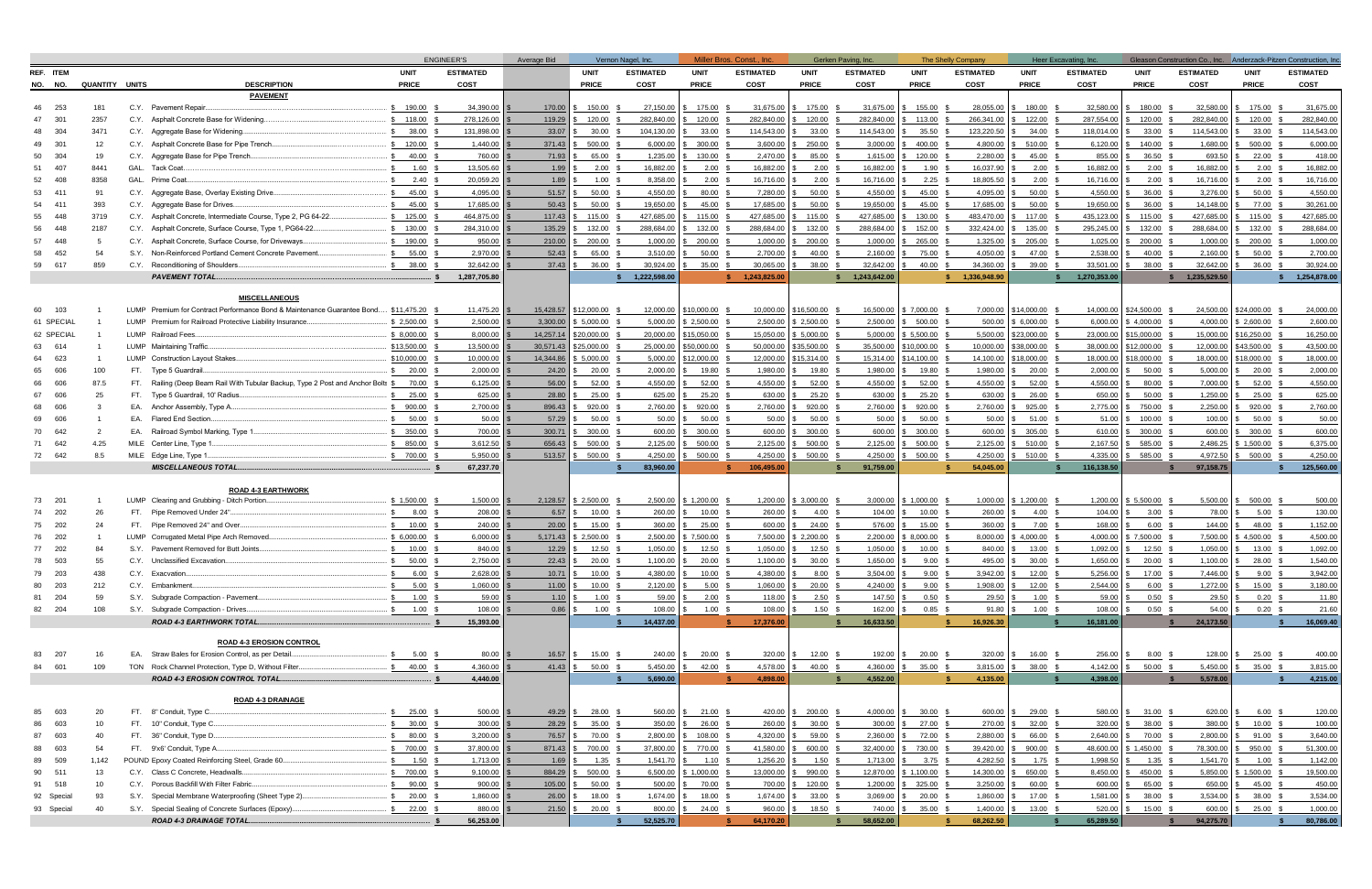|                 |                |                                                                                                                | <b>ENGINEER'S</b> |                        | Average Bid    | Vernon Nagel, Inc. |                       | Miller Bros. Const., Inc. |                        | Gerken Paving, Inc. |                        | The Shelly Company |                        | Heer Excavating, Inc. |                        |                |                        | Gleason Construction Co., Inc. Anderzack-Pitzen Construction, Inc. |                        |
|-----------------|----------------|----------------------------------------------------------------------------------------------------------------|-------------------|------------------------|----------------|--------------------|-----------------------|---------------------------|------------------------|---------------------|------------------------|--------------------|------------------------|-----------------------|------------------------|----------------|------------------------|--------------------------------------------------------------------|------------------------|
| REF ITEM        |                |                                                                                                                | <b>UNIT</b>       | <b>ESTIMATED</b>       |                | <b>UNIT</b>        | <b>ESTIMATED</b>      | <b>UNIT</b>               | <b>ESTIMATED</b>       | <b>UNIT</b>         | <b>ESTIMATED</b>       | <b>UNIT</b>        | <b>ESTIMATED</b>       | <b>UNIT</b>           | <b>ESTIMATED</b>       | <b>UNIT</b>    | <b>ESTIMATED</b>       | <b>UNIT</b>                                                        | <b>ESTIMATED</b>       |
| NO. NO.         | QUANTITY UNITS | <b>DESCRIPTION</b>                                                                                             | <b>PRICE</b>      | COST                   |                | <b>PRICE</b>       | <b>COST</b>           | <b>PRICE</b>              | <b>COST</b>            | <b>PRICE</b>        | COST                   | <b>PRICE</b>       | COST                   | <b>PRICE</b>          | COST                   | <b>PRICE</b>   | COST                   | <b>PRICE</b>                                                       | COST                   |
|                 |                | <b>PAVEMENT</b>                                                                                                |                   |                        |                |                    |                       |                           |                        |                     |                        |                    |                        |                       |                        |                |                        |                                                                    |                        |
| 253             | 181            | C.Y. Pavement Repair.                                                                                          | \$ 190.00         | 34,390.00              | 170.00         | 150.00             | 27,150.00             | 175.00                    | 31,675.00              | 175.00 \$<br>£.     | 31,675.00              | 155.00             | 28,055.00              | 180.00 \$             | 32,580.00              | \$ 180.00      | 32,580.00              | 175.00                                                             | 31,675.00              |
| 301             | 2357           | C.Y. Asphalt Concrete Base for Widening.                                                                       | \$118.00          | 278,126.00             | 119.29         | 120.00             | 282,840.00            | 120.00                    | 282,840.00             | 120.00              | 282,840.00             | 113.00             | 266,341.00             | 122.00                | 287,554.00             | 120.00         | 282,840.00             | 120.00                                                             | 282,840.00             |
| 304             | 3471           | C.Y. Aggregate Base for Widening.                                                                              | 38.00             | 131.898.00             | 33.07          | 30.00              | 104.130.00            | 33.00                     | 114,543.00             | 33.00               | 114,543.00             | 35.50              | 123,220.50             | 34.00                 | 118.014.00             | 33.00          | 114,543.00             | 33.00                                                              | 114,543.00             |
| 301             | 12             | C.Y. Asphalt Concrete Base for Pipe Trench.                                                                    | $5 - 120.00$      | 1,440.00               | 371.43         | 500.00             | 6,000.00              | 300.00                    | 3,600.00               | 250.00              | 3,000.00               | 400.00             | 4,800.00               | 510.00                | 6,120.00               | 140.00         | 1,680.00               | 500.00                                                             | 6,000.00               |
| 304<br>50       | 19             | C.Y. Aggregate Base for Pipe Trench<br>GAL. Tack Coat                                                          | 40.00             | 760.00                 | 71.93          | 65.00              | 1,235.00              | 130.00                    | 2,470.00               | 85.00               | 1,615.00               | 120.00             | 2,280.00               | 45.00                 | 855.00                 | 36.50          | 693.50                 | 22.00                                                              | 418.00                 |
| 407<br>408      | 8441<br>8358   | GAL. Prime Coat.                                                                                               | 1.60<br>2.40      | 13,505.60<br>20,059.20 | 1.99<br>1.89   | 2.00<br>1.00       | 16,882.00<br>8,358.00 | 2.00<br>2.00              | 16,882.00<br>16,716.00 | 2.00<br>2.00        | 16,882.00<br>16,716.00 | 1.90<br>2.25       | 16,037.90<br>18,805.50 | $2.00$ \$<br>2.00     | 16,882.00<br>16,716.00 | 2.00<br>2.00   | 16,882.00<br>16,716.00 | 2.00<br>2.00                                                       | 16,882.00<br>16,716.00 |
| 411             | 91             | C.Y. Aggregate Base, Overlay Existing Drive                                                                    | 45.00             | 4,095.00               | 51.57          | 50.00              | 4.550.00              | 80.00                     | 7,280.00               | 50.00               | 4,550.00               | 45.00              | 4.095.00               | 50.00                 | 4.550.00               | 36.00          | 3,276.00               | 50.00                                                              | 4,550.00               |
| 411             | 393            | C.Y. Aggregate Base for Drives.                                                                                | 45.00             | 17,685.00              | 50.43          | 50.00              | 19,650.00             | 45.00                     | 17,685.00              | 50.00               | 19,650.00              | 45.00              | 17,685.00              | 50.00                 | 19,650.00              | 36.00          | 14,148.00              | 77.00                                                              | 30,261.00              |
| 448<br>55       | 3719           | C.Y. Asphalt Concrete, Intermediate Course, Type 2, PG 64-22                                                   | 125.00            | 464,875.00             | 117.43         | 115.00             | 427,685.00            | 115.00                    | 427,685.00             | 115.00              | 427,685.00             | 130.00             | 483,470.00             | 117.00                | 435,123.00             | 115.00         | 427,685.00             | 115.00                                                             | 427,685.00             |
| 448             | 2187           | C.Y. Asphalt Concrete, Surface Course, Type 1, PG64-22.                                                        | 130.00            | 284,310.00             | 135.29         | 132.00             | 288,684.00            | 132.00                    | 288,684.00             | 132.00              | 288,684.00             | 152.00             | 332,424.00             | 135.00                | 295,245.00             | 132.00         | 288,684.00             | 132.00                                                             | 288,684.00             |
| 448             |                | C.Y. Asphalt Concrete, Surface Course, for Driveways                                                           | \$190.00          | 950.00                 | 210.00         | 200.00             | 1,000.00              | 200.00                    | 1,000.00               | 200.00              | 1,000.00               | 265.00             | 1,325.00               | 205.00                | 1,025.00               | 200.00         | 1,000.00               | 200.00                                                             | 1,000.00               |
| 452             | 54             | S.Y. Non-Reinforced Portland Cement Concrete Pavement                                                          | 55.00             | 2,970.00               | 52.43          | 65.00              | 3,510.00              | 50.00                     | 2,700.00               | 40.00               | 2,160.00               | 75.00              | 4.050.00               | 47.00                 | 2.538.00               | 40.00          | 2,160.00               | 50.00                                                              | 2,700.00               |
| 617             | 859            | C.Y. Reconditioning of Shoulders.                                                                              | \$38.00           | 32,642.00              | 37.43          | 36.00              | 30,924.00             | 35.00                     | 30,065.00              | 38.00               | 32,642.00              | 40.00              | 34,360.00              | 39.00                 | 33,501.00              | 38.00 \$       | 32,642.00              | 36.00                                                              | 30,924.00              |
|                 |                | <b>PAVEMENT TOTAL.</b>                                                                                         |                   | 1,287,705.80           |                |                    | 1,222,598.00          |                           | 1,243,825.00           |                     | 1,243,642.00           |                    | 1,336,948.90           |                       | 1,270,353.00           |                | 1,235,529.50           |                                                                    | 1,254,878.00           |
|                 |                |                                                                                                                |                   |                        |                |                    |                       |                           |                        |                     |                        |                    |                        |                       |                        |                |                        |                                                                    |                        |
|                 |                | <b>MISCELLANEOUS</b>                                                                                           |                   |                        |                |                    |                       |                           |                        |                     |                        |                    |                        |                       |                        |                |                        |                                                                    |                        |
| 103             |                | LUMP Premium for Contract Performance Bond & Maintenance Guarantee Bond                                        | \$11,475.20       | 11,475.20              | 15.428.57      | \$12,000.00        | 12,000.00             | \$10,000.00               | 10,000.00              | \$16,500.00         | 16,500.00              | \$7,000.00         |                        | 7.000.00 \$14.000.00  | 14,000.00              | \$24,500.00    | 24,500.00              | \$24,000.00                                                        | 24,000.00              |
| 61 SPECIAL      |                | LUMP Premium for Railroad Protective Liability Insurance.                                                      | \$2,500.00        | 2,500.00               | 3,300.00       | \$5,000.00         | 5,000.00              | \$2,500.00                | 2,500.00               | \$2,500.00          | 2,500.00               | 500.00             | 500.00                 | $$6,000.00$ \$        | 6,000.00               | \$4,000.00     | 4,000.00               | \$2,600.00                                                         | 2,600.00               |
| 62 SPECIAL      |                | LUMP Railroad Fees.                                                                                            | \$8,000.00        | 8,000.00               | 14,257.14      | \$20,000.00        | 20,000.00             | \$15,050.00               | 15,050.00              | \$5,000.00          | 5,000.00               | \$ 5,500.00        | 5,500.00               | \$23,000.00           | 23,000.00              | \$15,000.00    | 15,000.00              | \$16,250.00                                                        | 16,250.00              |
| 614             |                | LUMP Maintaining Traffic                                                                                       | \$13,500.00       | 13,500.00              | 30,571.43      | \$25,000.00        | 25,000.00             | \$50,000.00               | 50,000.00              | \$35,500.00         | 35,500.00              | \$10,000.00        | 10,000.00              | \$38,000.00           | 38,000.00              | \$12,000.00    | 12,000.00              | \$43,500.00                                                        | 43,500.00              |
| 623             |                | LUMP Construction Layout Stakes                                                                                | \$10,000.00       | 10,000.00              | 14,344.86      | 5,000.00           | 5,000.00              | 12,000.00                 | 12,000.00              | \$15,314.00         | 15,314.00              | \$14,100.00        | 14,100.00              | 18,000.00             | 18,000.00              | \$18,000.00    | 18,000.00              | \$18,000.00                                                        | 18,000.00              |
| 606<br>606      | 100<br>87.5    | FT. Type 5 Guardrail.<br>FT. Railing (Deep Beam Rail With Tubular Backup, Type 2 Post and Anchor Bolts \$70.00 | \$ 20.00          | 2,000.00<br>6,125.00   | 24.20<br>56.00 | 20.00<br>52.00     | 2,000.00<br>4,550.00  | 19.80<br>52.00            | 1,980.00<br>4,550.00   | 19.80<br>52.00      | 1,980.00<br>4,550.00   | 19.80<br>52.00     | 1,980.00<br>4,550.00   | 20.00<br>52.00 \$     | 2,000.00<br>4,550.00   | 50.00<br>80.00 | 5,000.00<br>7,000.00   | 20.00<br>52.00                                                     | 2,000.00<br>4,550.00   |
| 606             | 25             | FT. Type 5 Guardrail, 10' Radius.                                                                              | 25.00             | 625.00                 | 28.80          | 25.00              | 625.00                | 25.20                     | 630.00                 | 25.20               | 630.00                 | 25.20              | 630.00                 | 26.00                 | 650.00                 | 50.00          | 1,250.00               | 25.00                                                              | 625.00                 |
| 606             |                | EA. Anchor Assembly, Type A                                                                                    | 900.00            | 2,700.00               | 896.43         | 920.00             | 2,760.00              | 920.00                    | 2,760.00               | 920.00              | 2,760.00               | 920.00             | 2,760.00               | 925.00                | 2,775.00               | 750.00         | 2,250.00               | 920.00                                                             | 2,760.00               |
| 606             |                | EA. Flared End Section.                                                                                        | 50.00             | 50.00                  | 57.29          | 50.00              | 50.00                 | 50.00                     | 50.00                  | 50.00               | 50.00                  | 50.00              | 50.00                  | 51.00                 | 51.00                  | 100.00         | 100.00                 | 50.00                                                              | 50.00                  |
| 642             |                | EA. Railroad Symbol Marking, Type 1                                                                            | \$350.00          | 700.00                 | 300.71         | 300.00             | 600.00                | 300.00                    | 600.00                 | 300.00              | 600.00                 | 300.00             | 600.00                 | 305.00                | 610.00                 | 300.00         | 600.00                 | 300.00                                                             | 600.00                 |
| 642             | 4.25           | MILE Center Line, Type 1                                                                                       | \$850.00          | 3,612.50               | 656.43         | 500.00             | 2,125.00              | 500.00                    | 2,125.00               | 500.00              | 2,125.00               | 500.00             | 2,125.00               | 510.00                | 2,167.50               | 585.00         | 2,486.25               | 1,500.00                                                           | 6,375.00               |
| 642             | 8.5            | MILE Edge Line, Type 1                                                                                         | \$700.00          | 5,950.00               | 513.57         | 500.00             | 4,250.00              | 500.00                    | 4,250.00               | 500.00              | 4,250.00               | 500.00             | 4,250.00               | 510.00                | 4,335.00               | 585.00         | 4,972.50               | 500.00                                                             | 4,250.00               |
|                 |                | <b>MISCELLANEOUS TOTAL</b>                                                                                     |                   | 67,237.70              |                |                    | 83,960.00             |                           | 106,495.00             |                     | 91,759.00              |                    | 54,045.00              |                       | 116,138.50             |                | 97,158.75              |                                                                    | 125,560.00             |
|                 |                |                                                                                                                |                   |                        |                |                    |                       |                           |                        |                     |                        |                    |                        |                       |                        |                |                        |                                                                    |                        |
|                 |                | <b>ROAD 4-3 EARTHWORK</b>                                                                                      |                   |                        |                |                    |                       |                           |                        |                     |                        |                    |                        |                       |                        |                |                        |                                                                    |                        |
| 201<br>73       |                | LUMP Clearing and Grubbing - Ditch Portion                                                                     | \$1,500.00        | 1,500.00               | 2,128.57       | \$2,500.00         | 2,500.00              | \$1,200.00                | 1,200.00               | \$3,000.00          | 3,000.00               | 1,000.00           | 1,000.00               | $$1,200.00$ \$        | 1,200.00               | \$5,500.00     | 5,500.00               | 500.00                                                             | 500.00                 |
| 202             | 26             | FT. Pipe Removed Under 24".                                                                                    | 8.00              | 208.00                 | 6.57           | 10.00              | 260.00                | 10.00                     | 260.00                 | 4.00                | 104.00                 | 10.00              | 260.00                 | 4.00                  | 104.00                 | 3.00           | 78.00                  | 5.00                                                               | 130.00                 |
| 202             | 24             | FT. Pipe Removed 24" and Over.                                                                                 | \$ 10.00          | 240.00                 | 20.00          | 15.00              | 360.00                | 25.00                     | 600.00                 | 24.00               | 576.00                 | 15.00              | 360.00                 | $7.00$ :              | 168.00                 | 6.00           | 144.00                 | 48.00                                                              | 1,152.00               |
| 202             |                | LUMP Corrugated Metal Pipe Arch Removed.<br>S.Y. Pavement Removed for Butt Joints.                             | \$6,000.00        | 6,000.00               | 5,171.43       | 2,500.00           | 2,500.00              | 7,500.00                  | 7,500.00               | \$2,200.00          | 2,200.00               | 8,000.00           | 8,000.00               | 4,000.00              | 4,000.00               | \$7,500.00     | 7,500.00               | 4,500.00                                                           | 4,500.00               |
| 202<br>503      |                | C.Y. Unclassified Excavation.                                                                                  | \$ 10.00<br>50.00 | 840.00                 | 12.29          | 12.50              | 1,050.00              | 12.50<br>20.00            | 1,050.00               | 12.50<br>30.00      | 1,050.00               | 10.00              | 840.00                 | 13.00                 | 1,092.00               | 12.50          | 1,050.00               | 13.00                                                              | 1,092.00               |
| 78<br>203<br>79 | -55<br>438     | C.Y. Exacvation                                                                                                | 6.00              | 2,750.00<br>2,628.00   | 22.43<br>10.71 | 20.00<br>10.00     | 1,100.00<br>4,380.00  | 10.00                     | 1,100.00<br>4,380.00   | 8.00                | 1,650.00<br>3,504.00   | 9.00<br>9.00       | 495.00<br>3,942.00     | 30.00<br>12.00        | 1,650.00<br>5,256.00   | 20.00<br>17.00 | 1,100.00<br>7,446.00   | 28.00<br>9.00                                                      | 1,540.00<br>3,942.00   |
| 203<br>80       | 212            | C.Y. Embankment.                                                                                               | 5.00              | 1,060.00               | 11.00          | $10.00$ \$         | 2,120.00              | $5.00\degree$             | 1,060.00               | $20.00$ \$          | 4,240.00               | $9.00$ \$          | 1,908.00               | $12.00$ \$            | 2,544.00               | 6.00           | 1,272.00               | 15.00                                                              | 3,180.00               |
| 204             | 59             | S.Y. Subgrade Compaction - Pavement.                                                                           | \$ 1.00           | 59.00                  | 1.10           | $1.00$ \$          | 59.00                 | $2.00\frac{1}{2}$         | 118.00                 | $2.50\frac{ }{ }$   | 147.50                 | 0.50               | 29.50                  | $1.00$ \$             | 59.00                  | $0.50$ \;      | 29.50                  | 0.20                                                               | 11.80                  |
| 82 204          | 108            | S.Y. Subgrade Compaction - Drives                                                                              | \$ 1.00           | 108.00                 | 0.86           | $1.00$ \$          | 108.00                | $1.00$ \$                 | 108.00                 | $1.50$ \$           | 162.00                 | $0.85$ \$          | 91.80                  | $1.00\quad$ \$        | 108.00                 | $0.50\quad$ \$ | 54.00                  | 0.20                                                               | 21.60                  |
|                 |                | ROAD 4-3 EARTHWORK TOTAL.                                                                                      |                   | 15,393.00              |                |                    | 14,437.00             |                           | 17,376.00              |                     | 16,633.50              |                    | 16,926.30              |                       | 16,181.00              |                | 24,173.50              |                                                                    | 16,069.40              |
|                 |                |                                                                                                                |                   |                        |                |                    |                       |                           |                        |                     |                        |                    |                        |                       |                        |                |                        |                                                                    |                        |
|                 |                | ROAD 4-3 EROSION CONTROL                                                                                       |                   |                        |                |                    |                       |                           |                        |                     |                        |                    |                        |                       |                        |                |                        |                                                                    |                        |
| 207<br>83       |                | EA. Straw Bales for Erosion Control, as per Detail.                                                            | \$ 5.00           | 80.00                  | 16.57          | 15.00              | 240.00                | 20.00                     | 320.00                 | $12.00$ \$          | 192.00                 | $20.00\quad$ \$    | 320.00                 | 16.00 \$              | 256.00                 | 8.00           | 128.00                 | 25.00                                                              | 400.00                 |
| 601<br>84       | 109            | TON Rock Channel Protection, Type D, Without Filter.                                                           | \$ 40.00          | 4,360.00               | 41.43          | 50.00              | 5,450.00              | 42.00                     | 4,578.00               | 40.00 :             | 4,360.00               | 35.00 \$           | 3,815.00               | 38.00 \$              | 4,142.00               | $50.00$ \$     | 5,450.00               | 35.00                                                              | 3,815.00               |
|                 |                | ROAD 4-3 EROSION CONTROL TOTAL                                                                                 |                   | 4,440.00               |                |                    | 5,690.00              |                           | 4,898.00               |                     | 4,552.00               |                    | 4,135.00               |                       | 4,398.00               |                | 5,578.00               |                                                                    | 4,215.00               |
|                 |                | ROAD 4-3 DRAINAGE                                                                                              |                   |                        |                |                    |                       |                           |                        |                     |                        |                    |                        |                       |                        |                |                        |                                                                    |                        |
| 603             | 20             | FT. 8" Conduit, Type C                                                                                         | \$ 25.00 \$       | 500.00                 | 49.29          | 28.00 \$           | 560.00                | 21.00                     | 420.00                 | \$200.00\$          | 4,000.00               | 30.00              | 600.00                 | $29.00$ \$            | 580.00                 | $31.00$ \$     | 620.00                 | 6.00                                                               | 120.00                 |
| 603             | 10             | FT. 10" Conduit, Type C.                                                                                       | \$30.00           | 300.00                 | 28.29          | $35.00$ \$         | 350.00                | 26.00%                    | 260.00                 | $30.00$ \$          | 300.00                 | 27.00              | 270.00                 | 32.00 \$              | 320.00                 | 38.00 \$       | 380.00                 | 10.00                                                              | 100.00                 |
| 603             | 40             | FT. 36" Conduit, Type D.                                                                                       | \$80.00           | 3,200.00               | 76.57          | 70.00              | 2,800.00              | 108.00                    | 4,320.00               | 59.00               | 2,360.00               | 72.00              | 2,880.00               | 66.00 \$              | 2,640.00               | 70.00          | 2,800.00               | 91.00                                                              | 3,640.00               |
| 603<br>88       | 54             | FT. 9'x6' Conduit, Type A.                                                                                     | 700.00            | 37,800.00              | 871.43         | 700.00             | 37,800.00             | 770.00                    | 41,580.00              | 600.00              | 32,400.00              | 730.00             | 39,420.00              | 900.00                | 48,600.00              | \$1,450.00     | 78,300.00              | 950.00                                                             | 51,300.00              |
| 509<br>89       | 1,142          | POUND Epoxy Coated Reinforcing Steel, Grade 60.                                                                | 1.50              | 1,713.00               | 1.69           | 1.35               | 1,541.70              | 1.10                      | 1,256.20               | 1.50                | 1,713.00               | 3.75               | 4,282.50               | $1.75$ \$             | 1,998.50               | 1.35           | 1,541.70               | 1.00                                                               | 1,142.00               |
| 511<br>90       | 13             | C.Y. Class C Concrete, Headwalls.                                                                              | \$ 700.00         | 9,100.00               | 884.29         | 500.00             | 6,500.00              | \$1,000.00                | 13,000.00              | 990.00              | 12,870.00              | \$1,100.00         | 14,300.00              | 650.00                | 8,450.00               | 450.00         | 5,850.00               | 5 1,500.00                                                         | 19,500.00              |
| 518<br>91       | 10             | C.Y. Porous Backfill With Filter Fabric.                                                                       | 90.00             | 900.00                 | 105.00         | 50.00              | 500.00                | 70.00                     | 700.00                 | 120.00              | 1,200.00               | 325.00             | 3,250.00               | 60.00 \$              | 600.00                 | 65.00          | 650.00                 | 45.00                                                              | 450.00                 |
| 92 Special      | 93             | S.Y. Special Membrane Waterproofing (Sheet Type 2)                                                             | \$ 20.00          | 1,860.00               | 26.00          | 18.00              | 1,674.00              | 18.00                     | 1,674.00               | 33.00               | 3,069.00               | 20.00              | 1,860.00               | 17.00                 | 1,581.00               | 38.00          | 3,534.00               | 38.00                                                              | 3,534.00               |
| 93 Special      | 40             | S.Y. Special Sealing of Concrete Surfaces (Epoxy).                                                             | 622.00            | 880.00                 | 21.50          | 20.00              | 800.00                | 24.00                     | 960.00                 | 18.50               | 740.00                 | 35.00              | 1,400.00               | 13.00 \$              | 520.00                 | 15.00          | 600.00                 | 25.00                                                              | 1,000.00               |
|                 |                | ROAD 4-3 DRAINAGE TOTAL.                                                                                       |                   | 56,253.00              |                |                    | 52,525.70             |                           | 64,170.20              |                     | 58,652.00              |                    | 68,262.50              |                       | 65,289.50              |                | 94,275.70              |                                                                    | 80,786.00              |